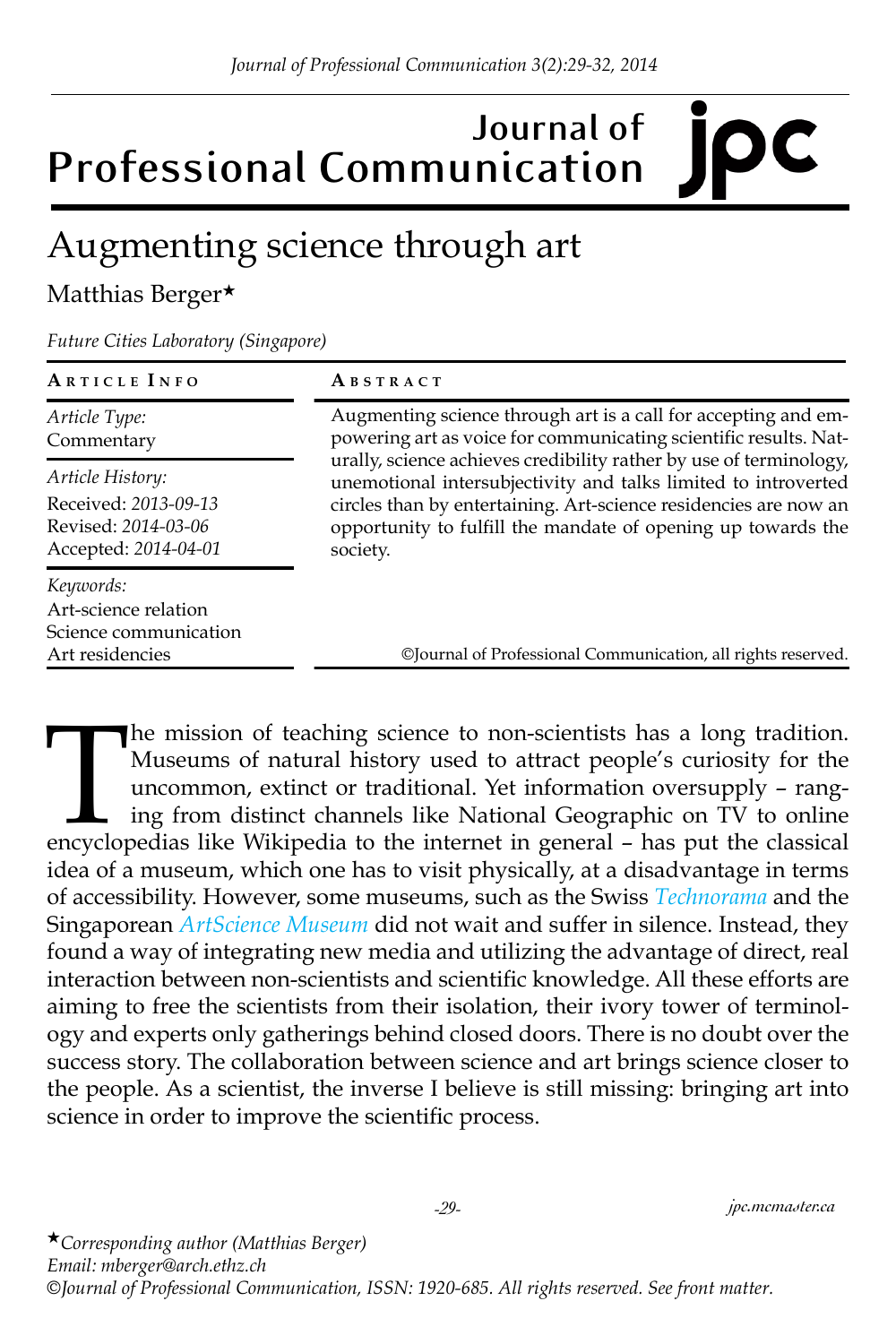## **Journal of Professional Communication**

## Augmenting science through art

## Matthias Berger★

*Future Cities Laboratory (Singapore)*

| ARTICLE INFO                                                                  | ABSTRACT                                                                                                                                                                                                                                                                                                                                                                                                                   |
|-------------------------------------------------------------------------------|----------------------------------------------------------------------------------------------------------------------------------------------------------------------------------------------------------------------------------------------------------------------------------------------------------------------------------------------------------------------------------------------------------------------------|
| Article Type:<br>Commentary                                                   | Augmenting science through art is a call for accepting and em-<br>powering art as voice for communicating scientific results. Nat-<br>urally, science achieves credibility rather by use of terminology,<br>unemotional intersubjectivity and talks limited to introverted<br>circles than by entertaining. Art-science residencies are now an<br>opportunity to fulfill the mandate of opening up towards the<br>society. |
| Article History:                                                              |                                                                                                                                                                                                                                                                                                                                                                                                                            |
| Received: 2013-09-13<br>Revised: 2014-03-06<br>Accepted: 2014-04-01           |                                                                                                                                                                                                                                                                                                                                                                                                                            |
| Keywords:<br>Art-science relation<br>Science communication<br>Art residencies | ©Journal of Professional Communication, all rights reserved.                                                                                                                                                                                                                                                                                                                                                               |

The mission of teaching science to non-scientists has a long tradition.<br>
Museums of natural history used to attract people's curiosity for the<br>
uncommon, extinct or traditional. Yet information oversupply – rang-<br>
ing from Museums of natural history used to attract people's curiosity for the uncommon, extinct or traditional. Yet information oversupply – ranging from distinct channels like National Geographic on TV to online idea of a museum, which one has to visit physically, at a disadvantage in terms of accessibility. However, some museums, such as the Swiss *[Technorama](www.technorama.ch/en/)* and the Singaporean *[ArtScience Museum](www.marinabaysands.com/singapore-museum/)* did not wait and suffer in silence. Instead, they found a way of integrating new media and utilizing the advantage of direct, real interaction between non-scientists and scientific knowledge. All these efforts are aiming to free the scientists from their isolation, their ivory tower of terminology and experts only gatherings behind closed doors. There is no doubt over the success story. The collaboration between science and art brings science closer to the people. As a scientist, the inverse I believe is still missing: bringing art into science in order to improve the scientific process.

★*Corresponding author (Matthias Berger) Email: mberger@arch.ethz.ch ©Journal of Professional Communication, ISSN: 1920-685. All rights reserved. See front matter.*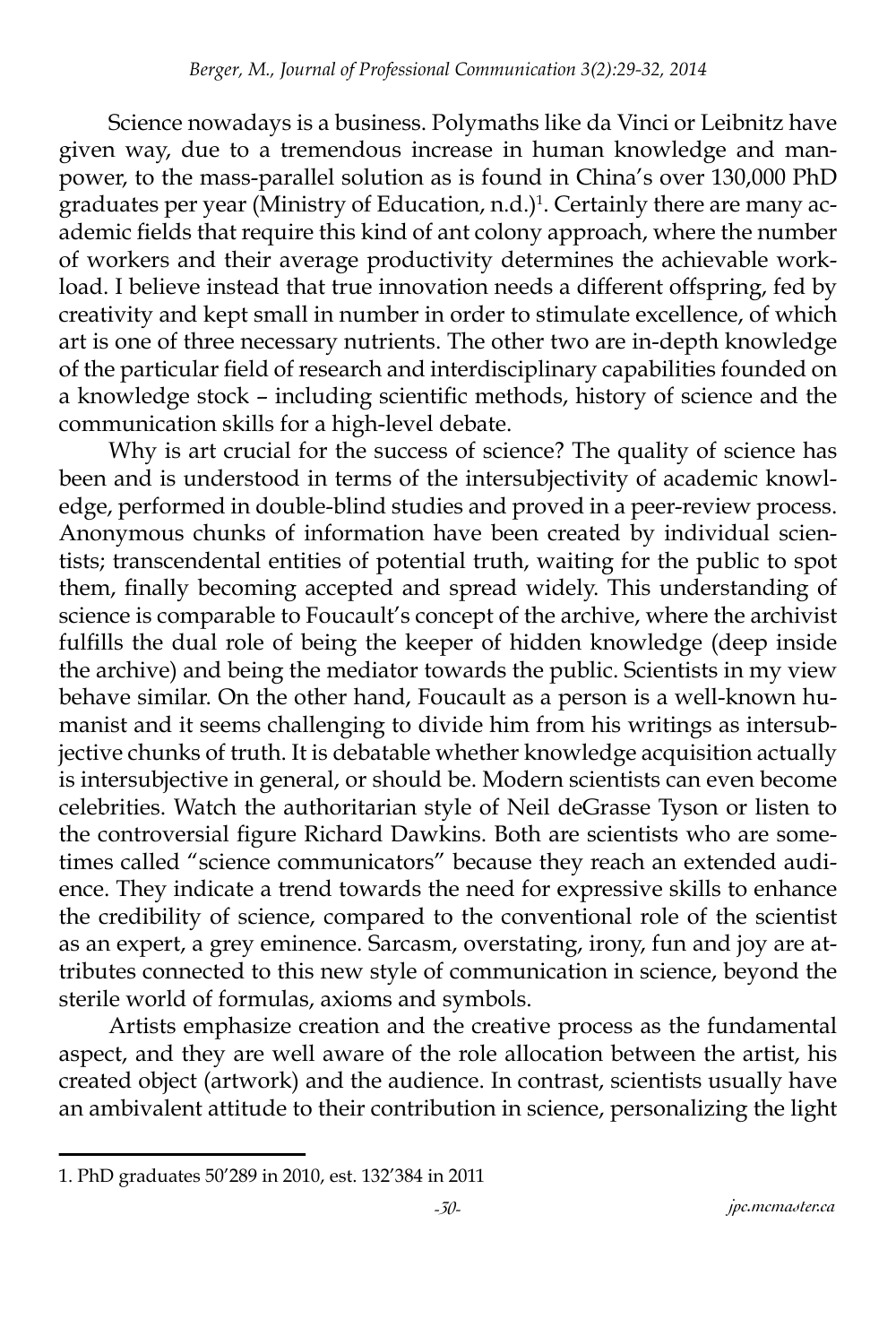Science nowadays is a business. Polymaths like da Vinci or Leibnitz have given way, due to a tremendous increase in human knowledge and manpower, to the mass-parallel solution as is found in China's over 130,000 PhD graduates per year (Ministry of Education, n.d.)<sup>1</sup>. Certainly there are many academic fields that require this kind of ant colony approach, where the number of workers and their average productivity determines the achievable workload. I believe instead that true innovation needs a different offspring, fed by creativity and kept small in number in order to stimulate excellence, of which art is one of three necessary nutrients. The other two are in-depth knowledge of the particular field of research and interdisciplinary capabilities founded on a knowledge stock – including scientific methods, history of science and the communication skills for a high-level debate.

Why is art crucial for the success of science? The quality of science has been and is understood in terms of the intersubjectivity of academic knowledge, performed in double-blind studies and proved in a peer-review process. Anonymous chunks of information have been created by individual scientists; transcendental entities of potential truth, waiting for the public to spot them, finally becoming accepted and spread widely. This understanding of science is comparable to Foucault's concept of the archive, where the archivist fulfills the dual role of being the keeper of hidden knowledge (deep inside the archive) and being the mediator towards the public. Scientists in my view behave similar. On the other hand, Foucault as a person is a well-known humanist and it seems challenging to divide him from his writings as intersubjective chunks of truth. It is debatable whether knowledge acquisition actually is intersubjective in general, or should be. Modern scientists can even become celebrities. Watch the authoritarian style of Neil deGrasse Tyson or listen to the controversial figure Richard Dawkins. Both are scientists who are sometimes called "science communicators" because they reach an extended audience. They indicate a trend towards the need for expressive skills to enhance the credibility of science, compared to the conventional role of the scientist as an expert, a grey eminence. Sarcasm, overstating, irony, fun and joy are attributes connected to this new style of communication in science, beyond the sterile world of formulas, axioms and symbols.

Artists emphasize creation and the creative process as the fundamental aspect, and they are well aware of the role allocation between the artist, his created object (artwork) and the audience. In contrast, scientists usually have an ambivalent attitude to their contribution in science, personalizing the light

<sup>1.</sup> PhD graduates 50'289 in 2010, est. 132'384 in 2011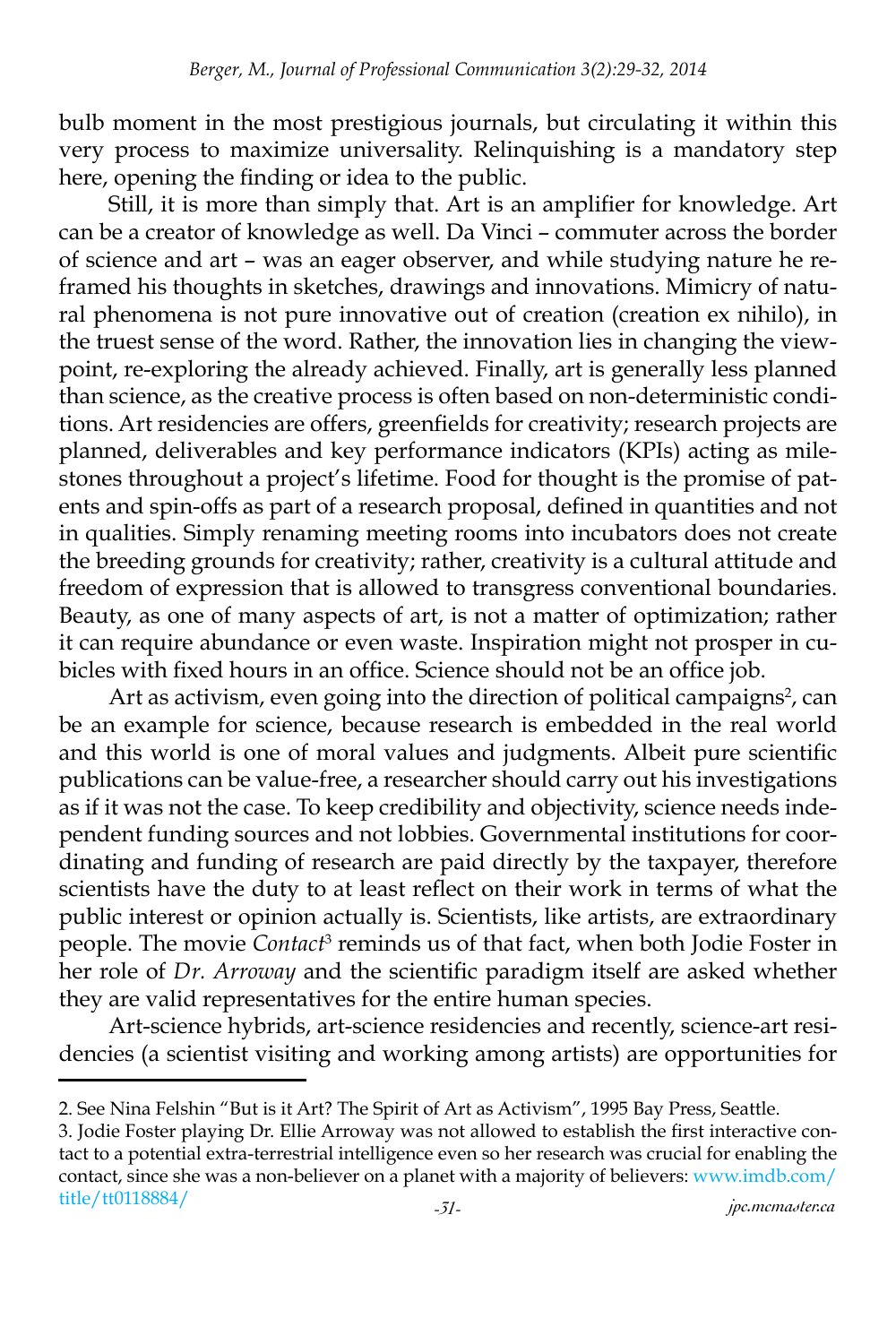bulb moment in the most prestigious journals, but circulating it within this very process to maximize universality. Relinquishing is a mandatory step here, opening the finding or idea to the public.

Still, it is more than simply that. Art is an amplifier for knowledge. Art can be a creator of knowledge as well. Da Vinci – commuter across the border of science and art – was an eager observer, and while studying nature he reframed his thoughts in sketches, drawings and innovations. Mimicry of natural phenomena is not pure innovative out of creation (creation ex nihilo), in the truest sense of the word. Rather, the innovation lies in changing the viewpoint, re-exploring the already achieved. Finally, art is generally less planned than science, as the creative process is often based on non-deterministic conditions. Art residencies are offers, greenfields for creativity; research projects are planned, deliverables and key performance indicators (KPIs) acting as milestones throughout a project's lifetime. Food for thought is the promise of patents and spin-offs as part of a research proposal, defined in quantities and not in qualities. Simply renaming meeting rooms into incubators does not create the breeding grounds for creativity; rather, creativity is a cultural attitude and freedom of expression that is allowed to transgress conventional boundaries. Beauty, as one of many aspects of art, is not a matter of optimization; rather it can require abundance or even waste. Inspiration might not prosper in cubicles with fixed hours in an office. Science should not be an office job.

Art as activism, even going into the direction of political campaigns<sup>2</sup>, can be an example for science, because research is embedded in the real world and this world is one of moral values and judgments. Albeit pure scientific publications can be value-free, a researcher should carry out his investigations as if it was not the case. To keep credibility and objectivity, science needs independent funding sources and not lobbies. Governmental institutions for coordinating and funding of research are paid directly by the taxpayer, therefore scientists have the duty to at least reflect on their work in terms of what the public interest or opinion actually is. Scientists, like artists, are extraordinary people. The movie *Contact*<sup>3</sup> reminds us of that fact, when both Jodie Foster in her role of *Dr. Arroway* and the scientific paradigm itself are asked whether they are valid representatives for the entire human species.

Art-science hybrids, art-science residencies and recently, science-art residencies (a scientist visiting and working among artists) are opportunities for

<sup>2.</sup> See Nina Felshin "But is it Art? The Spirit of Art as Activism", 1995 Bay Press, Seattle.

*<sup>-31-</sup> jpc.mcmaster.ca* 3. Jodie Foster playing Dr. Ellie Arroway was not allowed to establish the first interactive contact to a potential extra-terrestrial intelligence even so her research was crucial for enabling the contact, since she was a non-believer on a planet with a majority of believers: [www.imdb.com/](www.imdb.com/title/tt0118884/) [title/tt0118884/](www.imdb.com/title/tt0118884/)